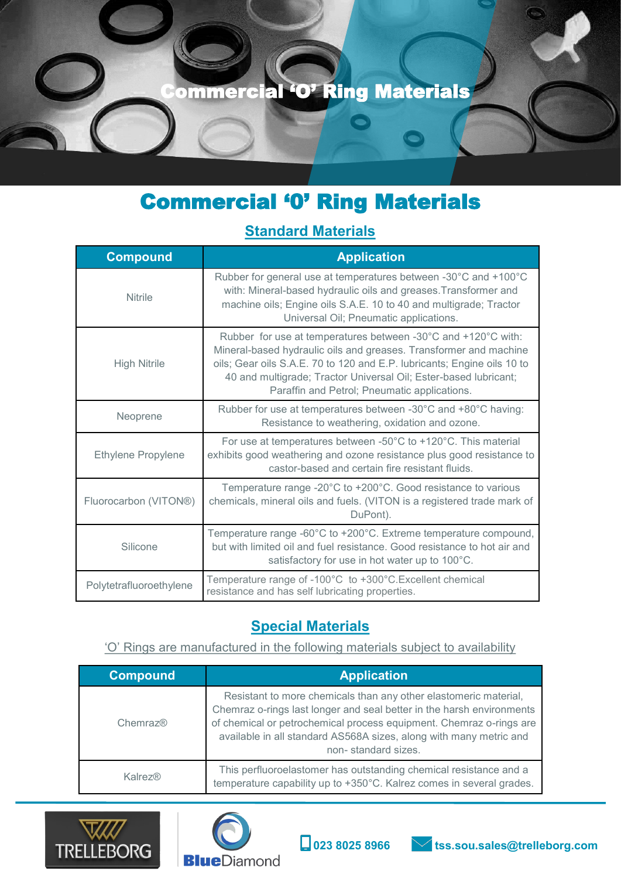

# Commercial '0' Ring Materials

### **Standard Materials**

| <b>Compound</b>           | <b>Application</b>                                                                                                                                                                                                                                                                                                                |
|---------------------------|-----------------------------------------------------------------------------------------------------------------------------------------------------------------------------------------------------------------------------------------------------------------------------------------------------------------------------------|
| <b>Nitrile</b>            | Rubber for general use at temperatures between -30°C and +100°C<br>with: Mineral-based hydraulic oils and greases. Transformer and<br>machine oils; Engine oils S.A.E. 10 to 40 and multigrade; Tractor<br>Universal Oil; Pneumatic applications.                                                                                 |
| <b>High Nitrile</b>       | Rubber for use at temperatures between -30°C and +120°C with:<br>Mineral-based hydraulic oils and greases. Transformer and machine<br>oils; Gear oils S.A.E. 70 to 120 and E.P. lubricants; Engine oils 10 to<br>40 and multigrade; Tractor Universal Oil; Ester-based lubricant;<br>Paraffin and Petrol; Pneumatic applications. |
| Neoprene                  | Rubber for use at temperatures between -30°C and +80°C having:<br>Resistance to weathering, oxidation and ozone.                                                                                                                                                                                                                  |
| <b>Ethylene Propylene</b> | For use at temperatures between -50°C to +120°C. This material<br>exhibits good weathering and ozone resistance plus good resistance to<br>castor-based and certain fire resistant fluids.                                                                                                                                        |
| Fluorocarbon (VITON®)     | Temperature range -20°C to +200°C. Good resistance to various<br>chemicals, mineral oils and fuels. (VITON is a registered trade mark of<br>DuPont).                                                                                                                                                                              |
| Silicone                  | Temperature range -60°C to +200°C. Extreme temperature compound,<br>but with limited oil and fuel resistance. Good resistance to hot air and<br>satisfactory for use in hot water up to 100°C.                                                                                                                                    |
| Polytetrafluoroethylene   | Temperature range of -100°C to +300°C. Excellent chemical<br>resistance and has self lubricating properties.                                                                                                                                                                                                                      |

### **Special Materials**

'O' Rings are manufactured in the following materials subject to availability

| <b>Compound</b> | <b>Application</b>                                                                                                                                                                                                                                                                                            |
|-----------------|---------------------------------------------------------------------------------------------------------------------------------------------------------------------------------------------------------------------------------------------------------------------------------------------------------------|
| Chemraz®        | Resistant to more chemicals than any other elastomeric material,<br>Chemraz o-rings last longer and seal better in the harsh environments<br>of chemical or petrochemical process equipment. Chemraz o-rings are<br>available in all standard AS568A sizes, along with many metric and<br>non-standard sizes. |
| Kalrez@         | This perfluoroelastomer has outstanding chemical resistance and a<br>temperature capability up to +350°C. Kalrez comes in several grades.                                                                                                                                                                     |

**023 8025 8966 tss.sou.sales@trelleborg.com**



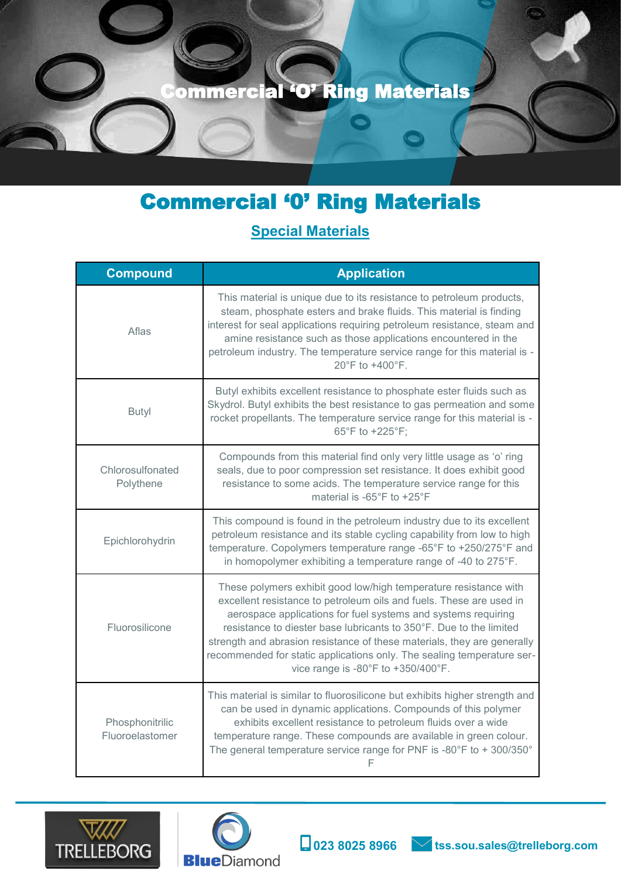

# Commercial '0' Ring Materials

## **Special Materials**

| <b>Compound</b>                    | <b>Application</b>                                                                                                                                                                                                                                                                                                                                                                                                                                                                              |
|------------------------------------|-------------------------------------------------------------------------------------------------------------------------------------------------------------------------------------------------------------------------------------------------------------------------------------------------------------------------------------------------------------------------------------------------------------------------------------------------------------------------------------------------|
| Aflas                              | This material is unique due to its resistance to petroleum products,<br>steam, phosphate esters and brake fluids. This material is finding<br>interest for seal applications requiring petroleum resistance, steam and<br>amine resistance such as those applications encountered in the<br>petroleum industry. The temperature service range for this material is -<br>20°F to +400°F.                                                                                                         |
| <b>Butyl</b>                       | Butyl exhibits excellent resistance to phosphate ester fluids such as<br>Skydrol. Butyl exhibits the best resistance to gas permeation and some<br>rocket propellants. The temperature service range for this material is -<br>65°F to +225°F;                                                                                                                                                                                                                                                  |
| Chlorosulfonated<br>Polythene      | Compounds from this material find only very little usage as 'o' ring<br>seals, due to poor compression set resistance. It does exhibit good<br>resistance to some acids. The temperature service range for this<br>material is -65°F to +25°F                                                                                                                                                                                                                                                   |
| Epichlorohydrin                    | This compound is found in the petroleum industry due to its excellent<br>petroleum resistance and its stable cycling capability from low to high<br>temperature. Copolymers temperature range -65°F to +250/275°F and<br>in homopolymer exhibiting a temperature range of -40 to 275°F.                                                                                                                                                                                                         |
| Fluorosilicone                     | These polymers exhibit good low/high temperature resistance with<br>excellent resistance to petroleum oils and fuels. These are used in<br>aerospace applications for fuel systems and systems requiring<br>resistance to diester base lubricants to 350°F. Due to the limited<br>strength and abrasion resistance of these materials, they are generally<br>recommended for static applications only. The sealing temperature ser-<br>vice range is -80 $^{\circ}$ F to +350/400 $^{\circ}$ F. |
| Phosphonitrilic<br>Fluoroelastomer | This material is similar to fluorosilicone but exhibits higher strength and<br>can be used in dynamic applications. Compounds of this polymer<br>exhibits excellent resistance to petroleum fluids over a wide<br>temperature range. These compounds are available in green colour.<br>The general temperature service range for PNF is -80°F to + 300/350°<br>F                                                                                                                                |







 $\circledcirc$